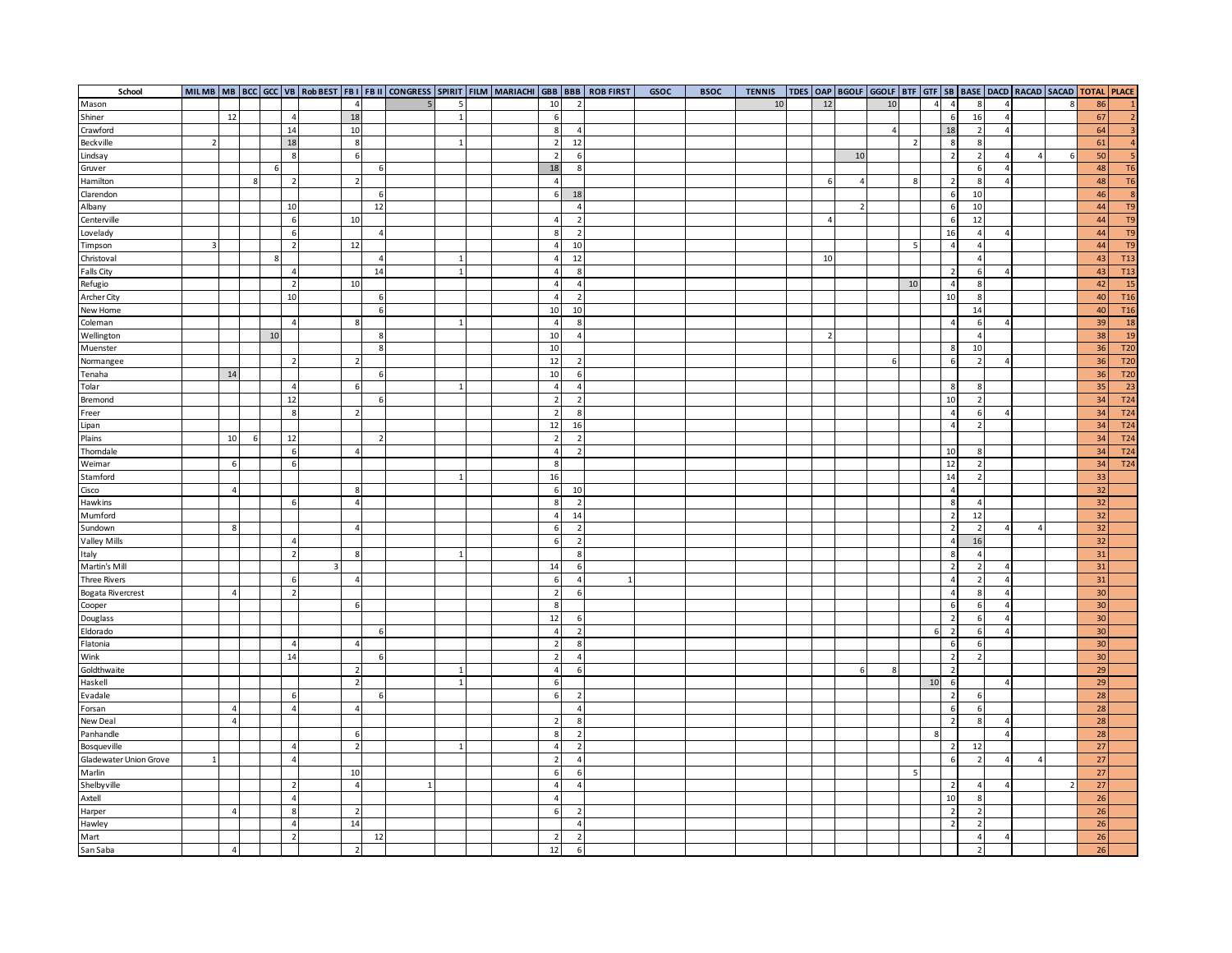| School                   |                |                |   |    |                |                |                |                 |  |                          |                  | MILMB   MB   BCC   GCC   VB   ROb BEST   FB I   FB II   CONGRESS   SPIRIT   FILM   MARIACHI   GBB   BBB   ROB FIRST | GSOC | <b>BSOC</b> | <b>TENNIS</b> |                |                | TDES OAP   BGOLF GGOLF   BTF   GTF   SB   BASE   DACD   RACAD   SACAD   TOTAL   PLACE |                |                |                |                  |                |   |        |                         |
|--------------------------|----------------|----------------|---|----|----------------|----------------|----------------|-----------------|--|--------------------------|------------------|---------------------------------------------------------------------------------------------------------------------|------|-------------|---------------|----------------|----------------|---------------------------------------------------------------------------------------|----------------|----------------|----------------|------------------|----------------|---|--------|-------------------------|
| Mason                    |                |                |   |    |                | $\overline{4}$ |                | -5              |  | 10                       | $\overline{2}$   |                                                                                                                     |      |             | 10            | 12             |                | 10                                                                                    |                | $\overline{a}$ | $\overline{4}$ | 8                | $\overline{a}$ | 8 | 86     | $\mathbf{1}$            |
| Shiner                   |                | 12             |   |    | $\overline{a}$ | 18             |                | $1\overline{ }$ |  | 6                        |                  |                                                                                                                     |      |             |               |                |                |                                                                                       |                |                | 6              | 16               | $\overline{4}$ |   | 67     | $\overline{2}$          |
| Crawford                 |                |                |   |    | 14             | 10             |                |                 |  | 8                        | $\overline{a}$   |                                                                                                                     |      |             |               |                |                | $\overline{a}$                                                                        |                |                | 18             | $\overline{2}$   | $\overline{4}$ |   | 64     | $\overline{\mathbf{3}}$ |
| Beckville                | $\overline{2}$ |                |   |    | 18             | 8              |                | $\mathbf{1}$    |  | $\overline{2}$           | 12               |                                                                                                                     |      |             |               |                |                |                                                                                       | $\overline{2}$ |                | 8              | 8                |                |   | 61     | $\overline{4}$          |
| Lindsay                  |                |                |   |    | 8              | 6              |                |                 |  | $\overline{2}$           | 6                |                                                                                                                     |      |             |               |                | 10             |                                                                                       |                |                | $\overline{2}$ | $\overline{2}$   | $\overline{4}$ | 6 | 50     | $\overline{\mathbf{5}}$ |
| Gruver                   |                |                |   | 6  |                |                | 6              |                 |  | 18                       | 8                |                                                                                                                     |      |             |               |                |                |                                                                                       |                |                |                | 6                | $\overline{4}$ |   | 48     | <b>T6</b>               |
| Hamilton                 |                |                | 8 |    | $\overline{2}$ | $\overline{2}$ |                |                 |  | $\overline{4}$           |                  |                                                                                                                     |      |             |               | 6              | $\overline{4}$ |                                                                                       | 8              |                | $\overline{2}$ | 8                | $\overline{4}$ |   | 48     | <b>T6</b>               |
| Clarendon                |                |                |   |    |                |                | 6              |                 |  | 6                        | 18               |                                                                                                                     |      |             |               |                |                |                                                                                       |                |                | 6              | 10               |                |   | 46     | 8                       |
| Albany                   |                |                |   |    | 10             |                | 12             |                 |  |                          | $\overline{4}$   |                                                                                                                     |      |             |               |                |                |                                                                                       |                |                | 6              | 10               |                |   | 44     | T9                      |
| Centerville              |                |                |   |    | 6              | 10             |                |                 |  | $\overline{4}$           | $\overline{2}$   |                                                                                                                     |      |             |               | $\overline{4}$ |                |                                                                                       |                |                | 6              | 12               |                |   | 44     | T <sub>9</sub>          |
| Lovelady                 |                |                |   |    | 6              |                | $\overline{4}$ |                 |  | 8                        | $\overline{2}$   |                                                                                                                     |      |             |               |                |                |                                                                                       |                |                | 16             | $\overline{4}$   | $\overline{4}$ |   | 44     | T9                      |
| Timpson                  | 3              |                |   |    | $\overline{2}$ | 12             |                |                 |  | $\overline{4}$           | 10               |                                                                                                                     |      |             |               |                |                |                                                                                       |                |                | $\overline{4}$ | $\overline{4}$   |                |   | 44     | T9                      |
| Christoval               |                |                |   | 8  |                |                | 4              | $1\overline{ }$ |  | $\overline{4}$           | 12               |                                                                                                                     |      |             |               | 10             |                |                                                                                       |                |                |                | $\overline{4}$   |                |   | 43     | T <sub>13</sub>         |
| <b>Falls City</b>        |                |                |   |    | $\overline{4}$ |                | 14             | $1\overline{ }$ |  | $\overline{4}$           | 8                |                                                                                                                     |      |             |               |                |                |                                                                                       |                |                | $\overline{2}$ | 6                | $\overline{4}$ |   | 43     | T <sub>13</sub>         |
| Refugio                  |                |                |   |    | $\overline{2}$ | 10             |                |                 |  | $\overline{4}$           | $\overline{4}$   |                                                                                                                     |      |             |               |                |                |                                                                                       | 10             |                | $\overline{4}$ | 8                |                |   | 42     | 15                      |
| Archer City              |                |                |   |    | 10             |                | 6              |                 |  | $\overline{4}$           | $\overline{2}$   |                                                                                                                     |      |             |               |                |                |                                                                                       |                |                | 10             | 8                |                |   | 40     | T <sub>16</sub>         |
| New Home                 |                |                |   |    |                |                | 6              |                 |  | 10                       | 10               |                                                                                                                     |      |             |               |                |                |                                                                                       |                |                |                | 14               |                |   | 40     | T <sub>16</sub>         |
| Coleman                  |                |                |   |    | $\overline{4}$ | 8              |                | $\mathbf{1}$    |  | $\overline{4}$           | 8                |                                                                                                                     |      |             |               |                |                |                                                                                       |                |                | $\overline{4}$ | 6                | $\Delta$       |   | 39     | 18                      |
| Wellington               |                |                |   | 10 |                |                | 8              |                 |  | 10                       | $\overline{4}$   |                                                                                                                     |      |             |               |                |                |                                                                                       |                |                |                | $\overline{4}$   |                |   | 38     | 19                      |
|                          |                |                |   |    |                |                | 8              |                 |  | 10                       |                  |                                                                                                                     |      |             |               |                |                |                                                                                       |                |                | 8              | 10               |                |   | 36     | T20                     |
| Muenster                 |                |                |   |    | $\overline{2}$ | $\overline{2}$ |                |                 |  | 12                       | 2                |                                                                                                                     |      |             |               |                |                | 6                                                                                     |                |                | 6              | $\overline{2}$   | $\Delta$       |   | 36     | <b>T20</b>              |
| Normangee<br>Tenaha      |                | 14             |   |    |                |                | 6              |                 |  | 10                       | 6                |                                                                                                                     |      |             |               |                |                |                                                                                       |                |                |                |                  |                |   | 36     | <b>T20</b>              |
| Tolar                    |                |                |   |    | $\overline{4}$ | 6              |                | $\mathbf{1}$    |  | $\overline{4}$           | $\overline{a}$   |                                                                                                                     |      |             |               |                |                |                                                                                       |                |                | 8              | 8                |                |   |        | 23                      |
|                          |                |                |   |    | 12             |                |                |                 |  |                          |                  |                                                                                                                     |      |             |               |                |                |                                                                                       |                |                | 10             |                  |                |   | 35     |                         |
| Bremond                  |                |                |   |    |                |                | 6              |                 |  | $\overline{2}$           | $\overline{2}$   |                                                                                                                     |      |             |               |                |                |                                                                                       |                |                |                | $\overline{2}$   |                |   | 34     | T24                     |
| Freer                    |                |                |   |    | 8              | $\overline{2}$ |                |                 |  | $\overline{2}$           | 8                |                                                                                                                     |      |             |               |                |                |                                                                                       |                |                | $\overline{4}$ | 6                | $\overline{4}$ |   | 34     | T24                     |
| Lipan                    |                |                |   |    |                |                |                |                 |  | 12                       | 16               |                                                                                                                     |      |             |               |                |                |                                                                                       |                |                | $\overline{4}$ | $\overline{2}$   |                |   | 34     | T24                     |
| Plains                   |                | 10             | 6 |    | 12             |                | $\overline{2}$ |                 |  | $\overline{2}$           | $\overline{2}$   |                                                                                                                     |      |             |               |                |                |                                                                                       |                |                |                |                  |                |   | 34     | T24                     |
| Thorndale                |                |                |   |    | 6<br>6         | $\overline{4}$ |                |                 |  | $\overline{4}$           | $\overline{2}$   |                                                                                                                     |      |             |               |                |                |                                                                                       |                |                | 10             | 8                |                |   | 34     | T24                     |
| Weimar                   |                | 6              |   |    |                |                |                |                 |  | 8                        |                  |                                                                                                                     |      |             |               |                |                |                                                                                       |                |                | 12             | $\overline{2}$   |                |   | 34     | T24                     |
| Stamford                 |                |                |   |    |                |                |                |                 |  | 16                       |                  |                                                                                                                     |      |             |               |                |                |                                                                                       |                |                | 14             | $\overline{2}$   |                |   | 33     |                         |
| Cisco                    |                | $\overline{a}$ |   |    |                | $\mathbf{g}$   |                |                 |  | 6                        | 10               |                                                                                                                     |      |             |               |                |                |                                                                                       |                |                | $\overline{4}$ |                  |                |   | 32     |                         |
| Hawkins                  |                |                |   |    | 6              | $\overline{4}$ |                |                 |  | 8                        | 2                |                                                                                                                     |      |             |               |                |                |                                                                                       |                |                | 8              | $\overline{4}$   |                |   | 32     |                         |
| Mumford                  |                |                |   |    |                |                |                |                 |  | $\overline{a}$           | 14               |                                                                                                                     |      |             |               |                |                |                                                                                       |                |                | $\overline{2}$ | 12               |                |   | 32     |                         |
| Sundown                  |                | 8              |   |    |                | $\Delta$       |                |                 |  | 6                        | 2                |                                                                                                                     |      |             |               |                |                |                                                                                       |                |                | $\overline{2}$ | $\overline{2}$   |                |   | 32     |                         |
| <b>Valley Mills</b>      |                |                |   |    | $\overline{4}$ |                |                |                 |  | 6                        | $\overline{2}$   |                                                                                                                     |      |             |               |                |                |                                                                                       |                |                | $\overline{4}$ | 16               |                |   | 32     |                         |
| Italy                    |                |                |   |    | $\overline{2}$ | 8              |                | 1               |  |                          | 8                |                                                                                                                     |      |             |               |                |                |                                                                                       |                |                | 8              | $\overline{4}$   |                |   | 31     |                         |
| Martin's Mill            |                |                |   |    |                |                |                |                 |  | 14                       | 6                |                                                                                                                     |      |             |               |                |                |                                                                                       |                |                | $\overline{2}$ | $\overline{2}$   | $\overline{4}$ |   | 31     |                         |
| <b>Three Rivers</b>      |                |                |   |    | 6              | $\overline{4}$ |                |                 |  | -6                       | $\overline{a}$   |                                                                                                                     |      |             |               |                |                |                                                                                       |                |                | $\overline{4}$ | $\overline{2}$   | $\overline{4}$ |   | 31     |                         |
| <b>Bogata Rivercrest</b> |                | $\overline{a}$ |   |    | $\overline{2}$ |                |                |                 |  | $\overline{2}$           | 6                |                                                                                                                     |      |             |               |                |                |                                                                                       |                |                | $\overline{4}$ | 8                | $\overline{4}$ |   | 30     |                         |
| Cooper                   |                |                |   |    |                | 6              |                |                 |  | 8                        |                  |                                                                                                                     |      |             |               |                |                |                                                                                       |                |                | -6             | 6                | $\overline{4}$ |   | 30     |                         |
| Douglass                 |                |                |   |    |                |                |                |                 |  | 12                       | 6                |                                                                                                                     |      |             |               |                |                |                                                                                       |                |                | $\overline{z}$ | 6                | $\overline{4}$ |   | 30     |                         |
| Eldorado                 |                |                |   |    |                |                | 6              |                 |  | $\overline{4}$           | 2                |                                                                                                                     |      |             |               |                |                |                                                                                       |                |                | $\overline{2}$ | 6                | $\overline{4}$ |   | 30     |                         |
| Flatonia                 |                |                |   |    | $\overline{4}$ | $\overline{4}$ |                |                 |  | $\overline{2}$           | 8                |                                                                                                                     |      |             |               |                |                |                                                                                       |                |                | 6              | $\boldsymbol{6}$ |                |   | 30     |                         |
| Wink                     |                |                |   |    | 14             |                | 6              |                 |  | 2                        | $\overline{a}$   |                                                                                                                     |      |             |               |                |                |                                                                                       |                |                | $\overline{2}$ | $\overline{2}$   |                |   | 30     |                         |
| Goldthwaite              |                |                |   |    |                | $\overline{2}$ |                | $1\overline{ }$ |  | $\overline{4}$           | 6                |                                                                                                                     |      |             |               |                |                |                                                                                       |                |                | $\overline{2}$ |                  |                |   | 29     |                         |
| Haskell                  |                |                |   |    |                | $\overline{2}$ |                | $\mathbf{1}$    |  | 6                        |                  |                                                                                                                     |      |             |               |                |                |                                                                                       |                | 10             | 6              |                  | $\overline{4}$ |   | 29     |                         |
| Evadale                  |                |                |   |    | 6              |                |                |                 |  | 6                        | $\overline{2}$   |                                                                                                                     |      |             |               |                |                |                                                                                       |                |                | $\overline{2}$ | 6                |                |   | 28     |                         |
| Forsan                   |                | $\overline{4}$ |   |    | $\overline{4}$ | $\overline{4}$ |                |                 |  |                          | $\overline{a}$   |                                                                                                                     |      |             |               |                |                |                                                                                       |                |                | 6              | 6                |                |   | 28     |                         |
| New Deal                 |                | $\overline{4}$ |   |    |                |                |                |                 |  |                          | 8                |                                                                                                                     |      |             |               |                |                |                                                                                       |                |                | $\overline{2}$ | 8                | $\Delta$       |   | 28     |                         |
| Panhandle                |                |                |   |    |                | 6              |                |                 |  | 8                        | 2                |                                                                                                                     |      |             |               |                |                |                                                                                       |                |                |                |                  | $\Delta$       |   | 28     |                         |
| Bosqueville              |                |                |   |    | $\overline{4}$ | $\overline{2}$ |                | $\overline{1}$  |  | $\Delta$                 | $\overline{2}$   |                                                                                                                     |      |             |               |                |                |                                                                                       |                |                | $\overline{2}$ | 12               |                |   | 27     |                         |
| Gladewater Union Grove   | $\mathbf{1}$   |                |   |    | $\overline{4}$ |                |                |                 |  | $\overline{\phantom{a}}$ | $\overline{a}$   |                                                                                                                     |      |             |               |                |                |                                                                                       |                |                | 6              | $\overline{2}$   | $\Delta$       |   | 27     |                         |
| Marlin                   |                |                |   |    |                | 10             |                |                 |  | 6                        | 6                |                                                                                                                     |      |             |               |                |                |                                                                                       |                |                |                |                  |                |   | $27\,$ |                         |
| Shelbyville              |                |                |   |    | $\overline{2}$ | $\overline{4}$ |                |                 |  | $\overline{a}$           | $\overline{4}$   |                                                                                                                     |      |             |               |                |                |                                                                                       |                |                | $\overline{2}$ | $\overline{4}$   | $\Delta$       |   | $27\,$ |                         |
| Axtell                   |                |                |   |    | $\overline{a}$ |                |                |                 |  | $\overline{a}$           |                  |                                                                                                                     |      |             |               |                |                |                                                                                       |                |                | 10             | 8                |                |   | 26     |                         |
| Harper                   |                | $\overline{4}$ |   |    | 8              | $\overline{2}$ |                |                 |  | 6                        | 2                |                                                                                                                     |      |             |               |                |                |                                                                                       |                |                | $\overline{2}$ | 2                |                |   | 26     |                         |
| Hawley                   |                |                |   |    | $\overline{4}$ | 14             |                |                 |  |                          | $\overline{a}$   |                                                                                                                     |      |             |               |                |                |                                                                                       |                |                | $\overline{2}$ | $\overline{2}$   |                |   | 26     |                         |
| Mart                     |                |                |   |    | $\overline{2}$ |                | 12             |                 |  | $\overline{2}$           | $\overline{2}$   |                                                                                                                     |      |             |               |                |                |                                                                                       |                |                |                | $\overline{4}$   |                |   | 26     |                         |
| San Saba                 |                | $\overline{a}$ |   |    |                | $\overline{2}$ |                |                 |  | 12                       | $6 \overline{6}$ |                                                                                                                     |      |             |               |                |                |                                                                                       |                |                |                | $\overline{2}$   |                |   | 26     |                         |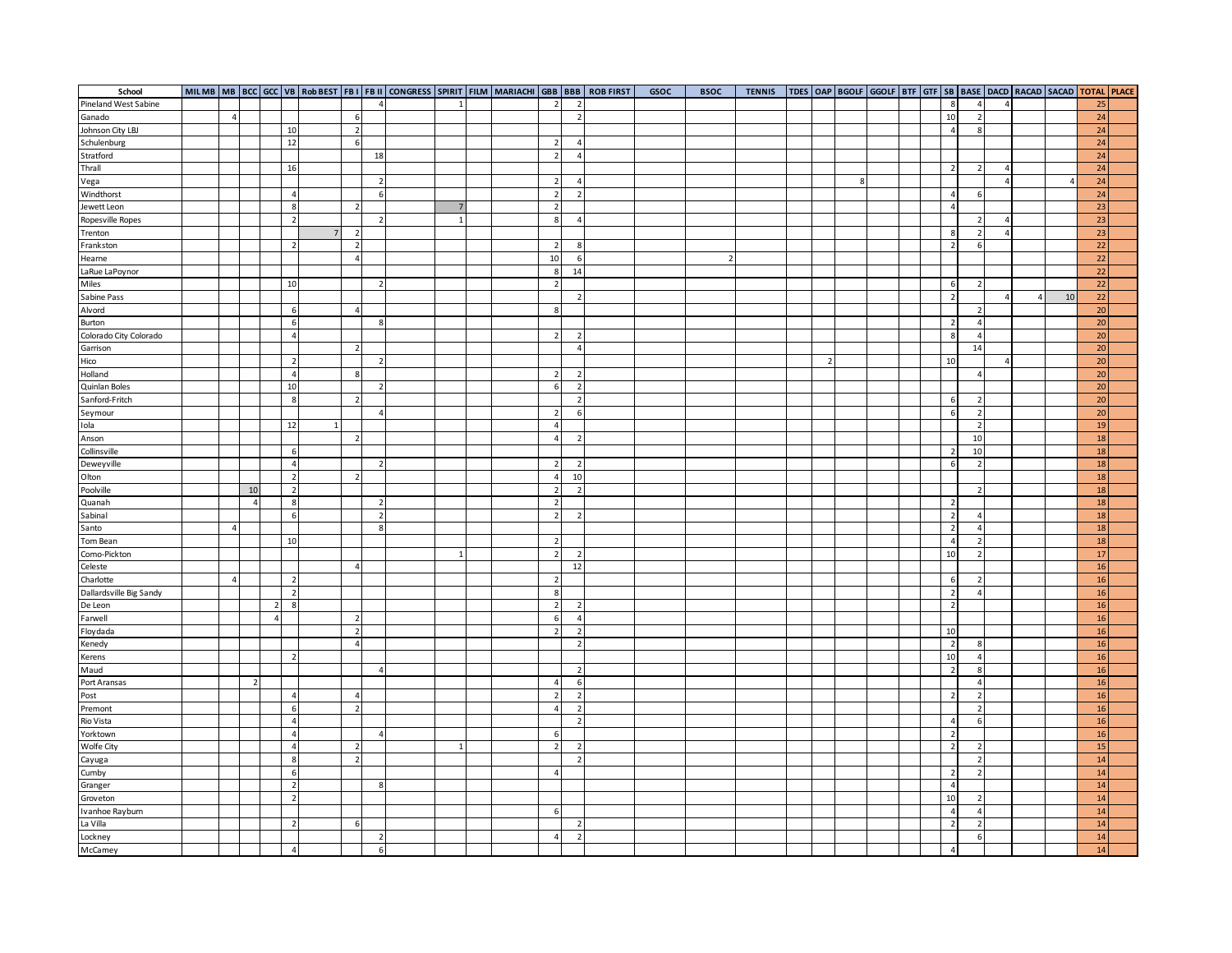| School                  |                |                |                |                |                          |                          |                |  |                          |                          | MILMB   MB   BCC   GCC   VB   Rob BEST   FB I   FB II   CONGRESS   SPIRIT   FILM   MARIACHI   GBB   BBB   ROB FIRST | GSOC | <b>BSOC</b>    | <b>TENNIS</b> |                |   | TDES   OAP   BGOLF   GGOLF   BTF   GTF   SB   BASE   DACD   RACAD   SACAD   TOTAL   PLACE |  |                |                          |                |              |    |                 |  |
|-------------------------|----------------|----------------|----------------|----------------|--------------------------|--------------------------|----------------|--|--------------------------|--------------------------|---------------------------------------------------------------------------------------------------------------------|------|----------------|---------------|----------------|---|-------------------------------------------------------------------------------------------|--|----------------|--------------------------|----------------|--------------|----|-----------------|--|
| Pineland West Sabine    |                |                |                |                |                          | $\overline{a}$           | $\mathbf{1}$   |  | $\overline{2}$           | $\overline{z}$           |                                                                                                                     |      |                |               |                |   |                                                                                           |  | 8              | $\overline{4}$           | $\overline{4}$ |              |    | 25              |  |
| Ganado                  | $\overline{4}$ |                |                |                | 6                        |                          |                |  |                          | $\overline{2}$           |                                                                                                                     |      |                |               |                |   |                                                                                           |  | 10             | $\overline{2}$           |                |              |    | 24              |  |
| Johnson City LBJ        |                |                |                | 10             | $\overline{2}$           |                          |                |  |                          |                          |                                                                                                                     |      |                |               |                |   |                                                                                           |  | $\overline{4}$ | 8                        |                |              |    | 24              |  |
| Schulenburg             |                |                |                | 12             | 6                        |                          |                |  | $\overline{2}$           | 4                        |                                                                                                                     |      |                |               |                |   |                                                                                           |  |                |                          |                |              |    | 24              |  |
| Stratford               |                |                |                |                |                          | 18                       |                |  | $\overline{2}$           | $\overline{4}$           |                                                                                                                     |      |                |               |                |   |                                                                                           |  |                |                          |                |              |    | 24              |  |
| Thrall                  |                |                |                | 16             |                          |                          |                |  |                          |                          |                                                                                                                     |      |                |               |                |   |                                                                                           |  | $\overline{2}$ | $\overline{2}$           | $\overline{4}$ |              |    | 24              |  |
| Vega                    |                |                |                |                |                          | $\overline{2}$           |                |  | $\overline{2}$           | $\overline{4}$           |                                                                                                                     |      |                |               |                | 8 |                                                                                           |  |                |                          | $\overline{4}$ |              | 4  | 24              |  |
| Windthorst              |                |                |                | $\overline{4}$ |                          | 6                        |                |  | $\overline{2}$           | $\overline{2}$           |                                                                                                                     |      |                |               |                |   |                                                                                           |  | $\overline{4}$ | 6                        |                |              |    | 24              |  |
| Jewett Leon             |                |                |                | 8              | $\overline{2}$           |                          |                |  | $\overline{2}$           |                          |                                                                                                                     |      |                |               |                |   |                                                                                           |  | $\overline{4}$ |                          |                |              |    | 23              |  |
| Ropesville Ropes        |                |                |                | $\overline{2}$ |                          | 2                        | $\mathbf{1}$   |  | 8                        | $\overline{4}$           |                                                                                                                     |      |                |               |                |   |                                                                                           |  |                | $\overline{2}$           | $\overline{4}$ |              |    | 23              |  |
| Trenton                 |                |                |                |                | $\overline{2}$           |                          |                |  |                          |                          |                                                                                                                     |      |                |               |                |   |                                                                                           |  | 8              | $\overline{2}$           | $\overline{a}$ |              |    | 23              |  |
| Frankston               |                |                |                | $\overline{2}$ | $\overline{2}$           |                          |                |  | $\overline{2}$           | 8                        |                                                                                                                     |      |                |               |                |   |                                                                                           |  | $\overline{2}$ | 6                        |                |              |    | $\overline{22}$ |  |
| Hearne                  |                |                |                |                | $\overline{4}$           |                          |                |  | 10                       | 6                        |                                                                                                                     |      | $\overline{2}$ |               |                |   |                                                                                           |  |                |                          |                |              |    | $\overline{22}$ |  |
| LaRue LaPoynor          |                |                |                |                |                          |                          |                |  | 8                        | 14                       |                                                                                                                     |      |                |               |                |   |                                                                                           |  |                |                          |                |              |    | $\overline{22}$ |  |
| Miles                   |                |                |                | 10             |                          | $\overline{\phantom{a}}$ |                |  | $\overline{2}$           |                          |                                                                                                                     |      |                |               |                |   |                                                                                           |  | 6              | $\overline{2}$           |                |              |    | $\overline{22}$ |  |
| Sabine Pass             |                |                |                |                |                          |                          |                |  |                          | $\overline{2}$           |                                                                                                                     |      |                |               |                |   |                                                                                           |  | $\overline{2}$ |                          | $\overline{a}$ | $\mathbf{A}$ | 10 | $\overline{22}$ |  |
| Alvord                  |                |                |                | 6              | $\overline{4}$           |                          |                |  | 8                        |                          |                                                                                                                     |      |                |               |                |   |                                                                                           |  |                | $\overline{2}$           |                |              |    | $\overline{20}$ |  |
| Burton                  |                |                |                | 6              |                          | 8                        |                |  |                          |                          |                                                                                                                     |      |                |               |                |   |                                                                                           |  | $\overline{2}$ | $\overline{a}$           |                |              |    | 20              |  |
| Colorado City Colorado  |                |                |                | $\overline{4}$ |                          |                          |                |  | $\overline{2}$           |                          |                                                                                                                     |      |                |               |                |   |                                                                                           |  | 8              | $\overline{a}$           |                |              |    | $\overline{20}$ |  |
| Garrison                |                |                |                |                | $\overline{2}$           |                          |                |  |                          | 4                        |                                                                                                                     |      |                |               |                |   |                                                                                           |  |                | 14                       |                |              |    | 20              |  |
| Hico                    |                |                |                | $\overline{2}$ |                          | $\overline{2}$           |                |  |                          |                          |                                                                                                                     |      |                |               | $\overline{2}$ |   |                                                                                           |  | 10             |                          | $\overline{a}$ |              |    | 20              |  |
| Holland                 |                |                |                | $\overline{4}$ | 8                        |                          |                |  | $\overline{z}$           | $\overline{2}$           |                                                                                                                     |      |                |               |                |   |                                                                                           |  |                | $\overline{4}$           |                |              |    | 20              |  |
| Quinlan Boles           |                |                |                | 10             |                          | $\overline{2}$           |                |  | 6                        | $\overline{z}$           |                                                                                                                     |      |                |               |                |   |                                                                                           |  |                |                          |                |              |    | 20              |  |
| Sanford-Fritch          |                |                |                | 8              | $\overline{2}$           |                          |                |  |                          | $\overline{2}$           |                                                                                                                     |      |                |               |                |   |                                                                                           |  | 6              | $\overline{2}$           |                |              |    | 20              |  |
| Seymour                 |                |                |                |                |                          | $\overline{4}$           |                |  | $\overline{z}$           | 6                        |                                                                                                                     |      |                |               |                |   |                                                                                           |  | 6              | $\overline{2}$           |                |              |    | 20              |  |
| Iola                    |                |                |                | 12             |                          |                          |                |  | $\overline{4}$           |                          |                                                                                                                     |      |                |               |                |   |                                                                                           |  |                | $\overline{2}$           |                |              |    | 19              |  |
| Anson                   |                |                |                |                | $\overline{2}$           |                          |                |  | $\overline{a}$           |                          |                                                                                                                     |      |                |               |                |   |                                                                                           |  |                | 10                       |                |              |    | 18              |  |
| Collinsville            |                |                |                | 6              |                          |                          |                |  |                          |                          |                                                                                                                     |      |                |               |                |   |                                                                                           |  | $\overline{2}$ | 10                       |                |              |    | 18              |  |
| Deweyville              |                |                |                | $\overline{4}$ |                          | $\overline{2}$           |                |  | $\overline{2}$           |                          |                                                                                                                     |      |                |               |                |   |                                                                                           |  | 6              | $\overline{2}$           |                |              |    | 18              |  |
| Olton                   |                |                |                | $\overline{2}$ | $\overline{2}$           |                          |                |  | $\overline{4}$           | 10                       |                                                                                                                     |      |                |               |                |   |                                                                                           |  |                |                          |                |              |    | 18              |  |
| Poolville               |                | 10             |                | $\overline{2}$ |                          |                          |                |  | $\overline{\phantom{a}}$ |                          |                                                                                                                     |      |                |               |                |   |                                                                                           |  |                | $\overline{z}$           |                |              |    | 18              |  |
| Quanah                  |                | $\overline{a}$ |                | 8              |                          | $\overline{2}$           |                |  | $\overline{2}$           |                          |                                                                                                                     |      |                |               |                |   |                                                                                           |  | $\overline{2}$ |                          |                |              |    | 18              |  |
| Sabinal                 |                |                |                | 6              |                          | $\overline{2}$           |                |  | $\overline{2}$           |                          |                                                                                                                     |      |                |               |                |   |                                                                                           |  | $\overline{2}$ |                          |                |              |    | 18              |  |
| Santo                   | 4              |                |                |                |                          | 8                        |                |  |                          |                          |                                                                                                                     |      |                |               |                |   |                                                                                           |  | $\overline{2}$ | $\overline{4}$           |                |              |    | 18              |  |
| Tom Bean                |                |                |                | 10             |                          |                          |                |  | $\overline{2}$           |                          |                                                                                                                     |      |                |               |                |   |                                                                                           |  | $\overline{4}$ |                          |                |              |    | 18              |  |
| Como-Pickton            |                |                |                |                |                          |                          | $\mathbf{1}$   |  | $\overline{2}$           | -2                       |                                                                                                                     |      |                |               |                |   |                                                                                           |  | 10             | $\overline{2}$           |                |              |    | 17              |  |
| Celeste                 |                |                |                |                | $\overline{4}$           |                          |                |  |                          | 12                       |                                                                                                                     |      |                |               |                |   |                                                                                           |  |                |                          |                |              |    | 16              |  |
| Charlotte               | $\overline{4}$ |                |                | $\overline{2}$ |                          |                          |                |  | $\overline{2}$           |                          |                                                                                                                     |      |                |               |                |   |                                                                                           |  | 6              | $\overline{2}$           |                |              |    | $16\,$          |  |
| Dallardsville Big Sandy |                |                |                | $\overline{2}$ |                          |                          |                |  | 8                        |                          |                                                                                                                     |      |                |               |                |   |                                                                                           |  | $\overline{2}$ | $\overline{4}$           |                |              |    | $16\,$          |  |
| De Leon                 |                |                | $\overline{2}$ | 8              |                          |                          |                |  | $\overline{2}$           |                          |                                                                                                                     |      |                |               |                |   |                                                                                           |  | $\overline{2}$ |                          |                |              |    | $16\,$          |  |
| Farwell                 |                |                | $\overline{4}$ |                | $\overline{2}$           |                          |                |  | 6                        | $\mathbf{A}$             |                                                                                                                     |      |                |               |                |   |                                                                                           |  |                |                          |                |              |    | $16$            |  |
| Floydada                |                |                |                |                | -2                       |                          |                |  | $\overline{2}$           | -2                       |                                                                                                                     |      |                |               |                |   |                                                                                           |  | 10             |                          |                |              |    | $16\,$          |  |
| Kenedy                  |                |                |                |                | $\overline{4}$           |                          |                |  |                          | $\overline{2}$           |                                                                                                                     |      |                |               |                |   |                                                                                           |  | $\overline{2}$ |                          |                |              |    | $16\,$          |  |
| Kerens                  |                |                |                | $\overline{2}$ |                          |                          |                |  |                          |                          |                                                                                                                     |      |                |               |                |   |                                                                                           |  | 10             | $\overline{4}$           |                |              |    | $16\,$          |  |
| Maud                    |                |                |                |                |                          | $\overline{4}$           |                |  |                          |                          |                                                                                                                     |      |                |               |                |   |                                                                                           |  | $\overline{2}$ | 8                        |                |              |    | $16$            |  |
| Port Aransas            |                | $\overline{2}$ |                |                |                          |                          |                |  | $\overline{4}$           |                          |                                                                                                                     |      |                |               |                |   |                                                                                           |  |                | $\overline{4}$           |                |              |    | $16\,$          |  |
| Post                    |                |                |                | $\overline{4}$ | $\overline{4}$           |                          |                |  | $\overline{z}$           |                          |                                                                                                                     |      |                |               |                |   |                                                                                           |  | $\overline{2}$ | $\overline{\phantom{a}}$ |                |              |    | 16              |  |
| Premont                 |                |                |                | 6              | $\overline{\phantom{a}}$ |                          |                |  | $\overline{4}$           |                          |                                                                                                                     |      |                |               |                |   |                                                                                           |  |                | $\overline{2}$           |                |              |    | $16\,$          |  |
| Rio Vista               |                |                |                | $\overline{4}$ |                          |                          |                |  |                          | $\overline{z}$           |                                                                                                                     |      |                |               |                |   |                                                                                           |  | $\overline{4}$ | 6                        |                |              |    | 16              |  |
| Yorktown                |                |                |                | $\overline{4}$ |                          | $\Delta$                 |                |  | 6                        |                          |                                                                                                                     |      |                |               |                |   |                                                                                           |  | $\overline{2}$ |                          |                |              |    | 16              |  |
| Wolfe City              |                |                |                | $\overline{4}$ | $\overline{2}$           |                          | $\overline{1}$ |  | $\overline{2}$           | $\overline{2}$           |                                                                                                                     |      |                |               |                |   |                                                                                           |  | $\overline{2}$ |                          |                |              |    | 15              |  |
| Cayuga                  |                |                |                | 8              | $\overline{2}$           |                          |                |  |                          | $\overline{z}$           |                                                                                                                     |      |                |               |                |   |                                                                                           |  |                | $\overline{z}$           |                |              |    | $14$            |  |
| Cumby                   |                |                |                | $\,$ 6         |                          |                          |                |  | $\overline{a}$           |                          |                                                                                                                     |      |                |               |                |   |                                                                                           |  | $\overline{2}$ | $\overline{z}$           |                |              |    | $14$            |  |
| Granger                 |                |                |                | $\overline{2}$ |                          | 8                        |                |  |                          |                          |                                                                                                                     |      |                |               |                |   |                                                                                           |  | $\overline{4}$ |                          |                |              |    | $14$            |  |
| Groveton                |                |                |                | $\overline{2}$ |                          |                          |                |  |                          |                          |                                                                                                                     |      |                |               |                |   |                                                                                           |  | 10             |                          |                |              |    | 14              |  |
| Ivanhoe Rayburn         |                |                |                |                |                          |                          |                |  | 6                        |                          |                                                                                                                     |      |                |               |                |   |                                                                                           |  | $\overline{4}$ | $\overline{4}$           |                |              |    | 14              |  |
| La Villa                |                |                |                | $\overline{2}$ | 6                        |                          |                |  |                          | $\overline{\phantom{a}}$ |                                                                                                                     |      |                |               |                |   |                                                                                           |  | $\overline{2}$ | $\overline{2}$           |                |              |    | $14$            |  |
| Lockney                 |                |                |                |                |                          | $\overline{2}$           |                |  | $\overline{a}$           | $\overline{2}$           |                                                                                                                     |      |                |               |                |   |                                                                                           |  |                | 6                        |                |              |    | 14              |  |
| McCamey                 |                |                |                | $\overline{4}$ |                          | $6 \overline{6}$         |                |  |                          |                          |                                                                                                                     |      |                |               |                |   |                                                                                           |  | $\overline{4}$ |                          |                |              |    | 14              |  |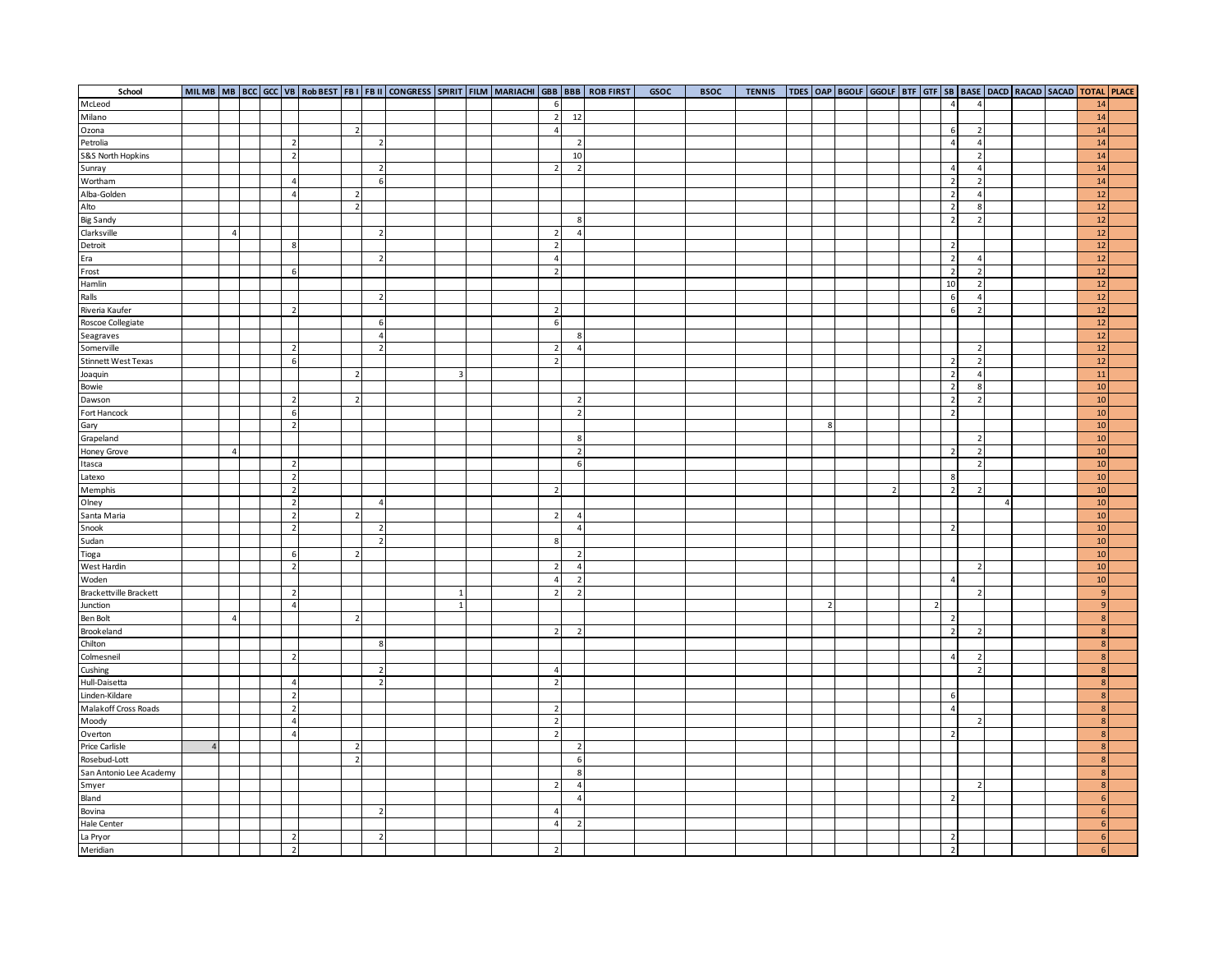| School                     |                |  |                |                |                          |                 |  |                |                | MILMB   MB   BCC   GCC   VB   Rob BEST   FB I   FB II   CONGRESS   SPIRIT   FILM   MARIACHI   GBB   BBB   ROB FIRST | GSOC | <b>BSOC</b> | <b>TENNIS</b> |                | TDES OAP   BGOLF   GGOLF   BTF   GTF   SB   BASE   DACD   RACAD   SACAD   TOTAL   PLACE |                |                |                                  |                |  |                  |  |
|----------------------------|----------------|--|----------------|----------------|--------------------------|-----------------|--|----------------|----------------|---------------------------------------------------------------------------------------------------------------------|------|-------------|---------------|----------------|-----------------------------------------------------------------------------------------|----------------|----------------|----------------------------------|----------------|--|------------------|--|
| McLeod                     |                |  |                |                |                          |                 |  | 6              |                |                                                                                                                     |      |             |               |                |                                                                                         |                | $\overline{4}$ | $\overline{4}$                   |                |  | 14               |  |
| Milano                     |                |  |                |                |                          |                 |  | $\overline{2}$ | 12             |                                                                                                                     |      |             |               |                |                                                                                         |                |                |                                  |                |  | 14               |  |
| Ozona                      |                |  |                | $\overline{2}$ |                          |                 |  | $\overline{4}$ |                |                                                                                                                     |      |             |               |                |                                                                                         |                | 6              | $\overline{2}$                   |                |  | 14               |  |
| Petrolia                   |                |  | $\overline{2}$ |                | $\overline{2}$           |                 |  |                | $\overline{2}$ |                                                                                                                     |      |             |               |                |                                                                                         |                | $\overline{4}$ | $\overline{4}$                   |                |  | 14               |  |
| S&S North Hopkins          |                |  | $\overline{2}$ |                |                          |                 |  |                | 10             |                                                                                                                     |      |             |               |                |                                                                                         |                |                | $\overline{2}$                   |                |  | 14               |  |
| Sunray                     |                |  |                |                | $\overline{2}$           |                 |  | $\overline{2}$ | $\overline{2}$ |                                                                                                                     |      |             |               |                |                                                                                         |                | $\overline{4}$ | $\overline{4}$                   |                |  | 14               |  |
| Wortham                    |                |  | $\overline{4}$ |                | 6                        |                 |  |                |                |                                                                                                                     |      |             |               |                |                                                                                         |                | $\overline{2}$ | $\overline{2}$                   |                |  | 14               |  |
| Alba-Golden                |                |  | $\overline{4}$ | $\overline{2}$ |                          |                 |  |                |                |                                                                                                                     |      |             |               |                |                                                                                         |                | $\overline{2}$ | $\overline{4}$                   |                |  | 12               |  |
| Alto                       |                |  |                | $\overline{2}$ |                          |                 |  |                |                |                                                                                                                     |      |             |               |                |                                                                                         |                | $\overline{2}$ | 8                                |                |  | 12               |  |
| <b>Big Sandy</b>           |                |  |                |                |                          |                 |  |                | 8              |                                                                                                                     |      |             |               |                |                                                                                         |                | $\overline{2}$ | $\overline{2}$                   |                |  | 12               |  |
| Clarksville                | $\overline{a}$ |  |                |                | $\overline{2}$           |                 |  | $\overline{2}$ | $\overline{a}$ |                                                                                                                     |      |             |               |                |                                                                                         |                |                |                                  |                |  | 12               |  |
| Detroit                    |                |  | 8              |                |                          |                 |  | $\overline{2}$ |                |                                                                                                                     |      |             |               |                |                                                                                         |                | $\overline{2}$ |                                  |                |  | 12               |  |
| Era                        |                |  |                |                | $\overline{2}$           |                 |  | $\overline{4}$ |                |                                                                                                                     |      |             |               |                |                                                                                         |                | $\overline{2}$ | $\overline{4}$                   |                |  | 12               |  |
|                            |                |  | 6              |                |                          |                 |  | $\overline{2}$ |                |                                                                                                                     |      |             |               |                |                                                                                         |                | $\overline{2}$ | $\overline{2}$                   |                |  | 12               |  |
| Frost<br>Hamlin            |                |  |                |                |                          |                 |  |                |                |                                                                                                                     |      |             |               |                |                                                                                         |                | 10             | $\overline{2}$                   |                |  | 12               |  |
|                            |                |  |                |                |                          |                 |  |                |                |                                                                                                                     |      |             |               |                |                                                                                         |                |                |                                  |                |  | 12               |  |
| Ralls                      |                |  |                |                | $\overline{2}$           |                 |  |                |                |                                                                                                                     |      |             |               |                |                                                                                         |                | 6<br>6         | $\overline{4}$<br>$\overline{2}$ |                |  | 12               |  |
| Riveria Kaufer             |                |  | $\overline{2}$ |                |                          |                 |  | $\overline{2}$ |                |                                                                                                                     |      |             |               |                |                                                                                         |                |                |                                  |                |  |                  |  |
| Roscoe Collegiate          |                |  |                |                | 6                        |                 |  | 6              |                |                                                                                                                     |      |             |               |                |                                                                                         |                |                |                                  |                |  | 12               |  |
| Seagraves                  |                |  |                |                | $\overline{4}$           |                 |  |                | 8              |                                                                                                                     |      |             |               |                |                                                                                         |                |                |                                  |                |  | 12               |  |
| Somerville                 |                |  | $\overline{2}$ |                | $\overline{2}$           |                 |  | $\overline{2}$ | $\overline{4}$ |                                                                                                                     |      |             |               |                |                                                                                         |                |                | $\overline{2}$                   |                |  | $12\,$           |  |
| <b>Stinnett West Texas</b> |                |  | 6              |                |                          |                 |  | $\overline{2}$ |                |                                                                                                                     |      |             |               |                |                                                                                         |                | $\overline{2}$ | $\overline{2}$                   |                |  | 12               |  |
| Joaquin                    |                |  |                | $\overline{2}$ |                          | $\overline{3}$  |  |                |                |                                                                                                                     |      |             |               |                |                                                                                         |                | $\overline{2}$ | $\overline{4}$                   |                |  | $11\,$           |  |
| Bowie                      |                |  |                |                |                          |                 |  |                |                |                                                                                                                     |      |             |               |                |                                                                                         |                | $\overline{2}$ | 8                                |                |  | 10               |  |
| Dawson                     |                |  | $\overline{2}$ | $\overline{2}$ |                          |                 |  |                | $\overline{2}$ |                                                                                                                     |      |             |               |                |                                                                                         |                | $\overline{2}$ | $\overline{2}$                   |                |  | 10               |  |
| Fort Hancock               |                |  | 6              |                |                          |                 |  |                | $\overline{2}$ |                                                                                                                     |      |             |               |                |                                                                                         |                | $\overline{2}$ |                                  |                |  | 10               |  |
| Gary                       |                |  | $\overline{2}$ |                |                          |                 |  |                |                |                                                                                                                     |      |             |               | 8              |                                                                                         |                |                |                                  |                |  | 10               |  |
| Grapeland                  |                |  |                |                |                          |                 |  |                | 8              |                                                                                                                     |      |             |               |                |                                                                                         |                |                | $\overline{2}$                   |                |  | 10               |  |
| Honey Grove                | $\overline{a}$ |  |                |                |                          |                 |  |                | $\overline{2}$ |                                                                                                                     |      |             |               |                |                                                                                         |                | $\overline{2}$ | $\overline{2}$                   |                |  | 10               |  |
| Itasca                     |                |  | $\overline{2}$ |                |                          |                 |  |                | 6              |                                                                                                                     |      |             |               |                |                                                                                         |                |                | $\overline{2}$                   |                |  | 10               |  |
| Latexo                     |                |  | $\overline{2}$ |                |                          |                 |  |                |                |                                                                                                                     |      |             |               |                |                                                                                         |                | 8              |                                  |                |  | 10               |  |
| Memphis                    |                |  | $\overline{2}$ |                |                          |                 |  | $\overline{2}$ |                |                                                                                                                     |      |             |               |                |                                                                                         |                | $\overline{2}$ | $\overline{2}$                   |                |  | 10               |  |
| Olney                      |                |  | $\overline{2}$ |                | $\overline{4}$           |                 |  |                |                |                                                                                                                     |      |             |               |                |                                                                                         |                |                |                                  | $\overline{4}$ |  | 10               |  |
| Santa Maria                |                |  | $\overline{2}$ | $\overline{2}$ |                          |                 |  | $\overline{2}$ | $\overline{a}$ |                                                                                                                     |      |             |               |                |                                                                                         |                |                |                                  |                |  | 10               |  |
| Snook                      |                |  | $\overline{2}$ |                | $\overline{2}$           |                 |  |                | $\overline{4}$ |                                                                                                                     |      |             |               |                |                                                                                         |                | $\overline{2}$ |                                  |                |  | 10               |  |
| Sudan                      |                |  |                |                |                          |                 |  | 8              |                |                                                                                                                     |      |             |               |                |                                                                                         |                |                |                                  |                |  | 10               |  |
| Tioga                      |                |  | 6              | $\overline{2}$ |                          |                 |  |                | $\overline{2}$ |                                                                                                                     |      |             |               |                |                                                                                         |                |                |                                  |                |  | 10               |  |
| West Hardin                |                |  | $\overline{2}$ |                |                          |                 |  | $\overline{2}$ | $\overline{a}$ |                                                                                                                     |      |             |               |                |                                                                                         |                |                | $\overline{2}$                   |                |  | 10               |  |
| Woden                      |                |  |                |                |                          |                 |  | $\overline{4}$ | $\overline{2}$ |                                                                                                                     |      |             |               |                |                                                                                         |                | $\overline{4}$ |                                  |                |  | 10               |  |
| Brackettville Brackett     |                |  | $\overline{2}$ |                |                          | $\overline{1}$  |  | $\overline{2}$ | 2              |                                                                                                                     |      |             |               |                |                                                                                         |                |                | $\overline{2}$                   |                |  | 9                |  |
| Junction                   |                |  | $\overline{4}$ |                |                          | $1\overline{ }$ |  |                |                |                                                                                                                     |      |             |               | $\overline{2}$ |                                                                                         | $\overline{2}$ |                |                                  |                |  | 9                |  |
| Ben Bolt                   | $\overline{a}$ |  |                | $\overline{2}$ |                          |                 |  |                |                |                                                                                                                     |      |             |               |                |                                                                                         |                | $\overline{2}$ |                                  |                |  | 8                |  |
| Brookeland                 |                |  |                |                |                          |                 |  | $\overline{2}$ | 2              |                                                                                                                     |      |             |               |                |                                                                                         |                | $\overline{2}$ | $\overline{2}$                   |                |  | 8                |  |
| Chilton                    |                |  |                |                | $\mathbf{R}$             |                 |  |                |                |                                                                                                                     |      |             |               |                |                                                                                         |                |                |                                  |                |  | $\overline{8}$   |  |
| Colmesneil                 |                |  | $\overline{2}$ |                |                          |                 |  |                |                |                                                                                                                     |      |             |               |                |                                                                                         |                | $\overline{a}$ | $\overline{2}$                   |                |  | $\boldsymbol{8}$ |  |
| Cushing                    |                |  |                |                | $\overline{2}$           |                 |  | $\overline{4}$ |                |                                                                                                                     |      |             |               |                |                                                                                         |                |                | $\overline{2}$                   |                |  | 8                |  |
| Hull-Daisetta              |                |  | $\overline{4}$ |                | $\overline{2}$           |                 |  | $\overline{2}$ |                |                                                                                                                     |      |             |               |                |                                                                                         |                |                |                                  |                |  | 8                |  |
| Linden-Kildare             |                |  | $\overline{2}$ |                |                          |                 |  |                |                |                                                                                                                     |      |             |               |                |                                                                                         |                | 6              |                                  |                |  | $\boldsymbol{8}$ |  |
| Malakoff Cross Roads       |                |  | $\overline{2}$ |                |                          |                 |  | $\overline{2}$ |                |                                                                                                                     |      |             |               |                |                                                                                         |                | $\overline{4}$ |                                  |                |  | $\boldsymbol{8}$ |  |
| Moody                      |                |  | $\overline{4}$ |                |                          |                 |  | $\overline{2}$ |                |                                                                                                                     |      |             |               |                |                                                                                         |                |                | $\overline{2}$                   |                |  | 8                |  |
| Overton                    |                |  | $\overline{4}$ |                |                          |                 |  | $\overline{2}$ |                |                                                                                                                     |      |             |               |                |                                                                                         |                | $\overline{2}$ |                                  |                |  | 8                |  |
| Price Carlisle             |                |  |                | $\overline{2}$ |                          |                 |  |                | 2              |                                                                                                                     |      |             |               |                |                                                                                         |                |                |                                  |                |  | $\overline{8}$   |  |
| Rosebud-Lott               |                |  |                | $\overline{2}$ |                          |                 |  |                | 6              |                                                                                                                     |      |             |               |                |                                                                                         |                |                |                                  |                |  | 8                |  |
| San Antonio Lee Academy    |                |  |                |                |                          |                 |  |                | 8              |                                                                                                                     |      |             |               |                |                                                                                         |                |                |                                  |                |  | 8                |  |
| Smyer                      |                |  |                |                |                          |                 |  |                | $\overline{4}$ |                                                                                                                     |      |             |               |                |                                                                                         |                |                | $\overline{2}$                   |                |  | 8                |  |
| Bland                      |                |  |                |                |                          |                 |  |                | $\overline{4}$ |                                                                                                                     |      |             |               |                |                                                                                         |                | $\overline{2}$ |                                  |                |  | $6\overline{6}$  |  |
| Bovina                     |                |  |                |                | $\overline{2}$           |                 |  | $\overline{4}$ |                |                                                                                                                     |      |             |               |                |                                                                                         |                |                |                                  |                |  | 6                |  |
| <b>Hale Center</b>         |                |  |                |                |                          |                 |  | $\overline{4}$ | $\overline{2}$ |                                                                                                                     |      |             |               |                |                                                                                         |                |                |                                  |                |  | 6                |  |
| La Pryor                   |                |  | $\overline{2}$ |                | $\overline{\phantom{a}}$ |                 |  |                |                |                                                                                                                     |      |             |               |                |                                                                                         |                | $\overline{2}$ |                                  |                |  | $6 \overline{6}$ |  |
| Meridian                   |                |  | $\overline{2}$ |                |                          |                 |  | $\overline{2}$ |                |                                                                                                                     |      |             |               |                |                                                                                         |                | $\overline{2}$ |                                  |                |  | 6 <sup>1</sup>   |  |
|                            |                |  |                |                |                          |                 |  |                |                |                                                                                                                     |      |             |               |                |                                                                                         |                |                |                                  |                |  |                  |  |